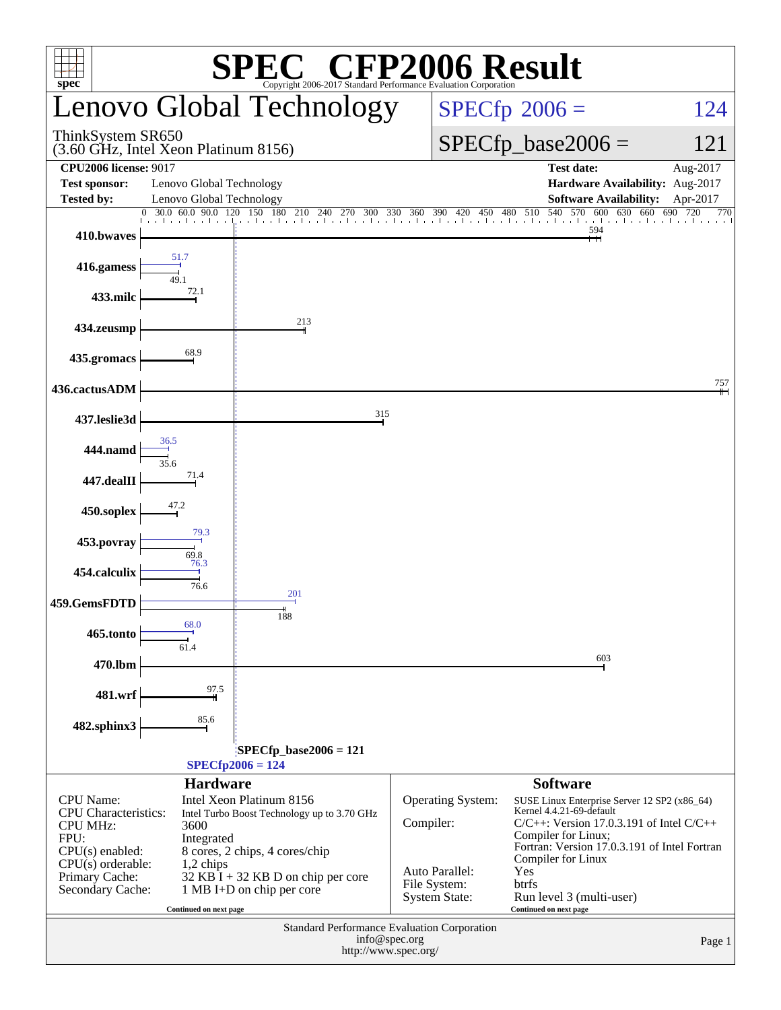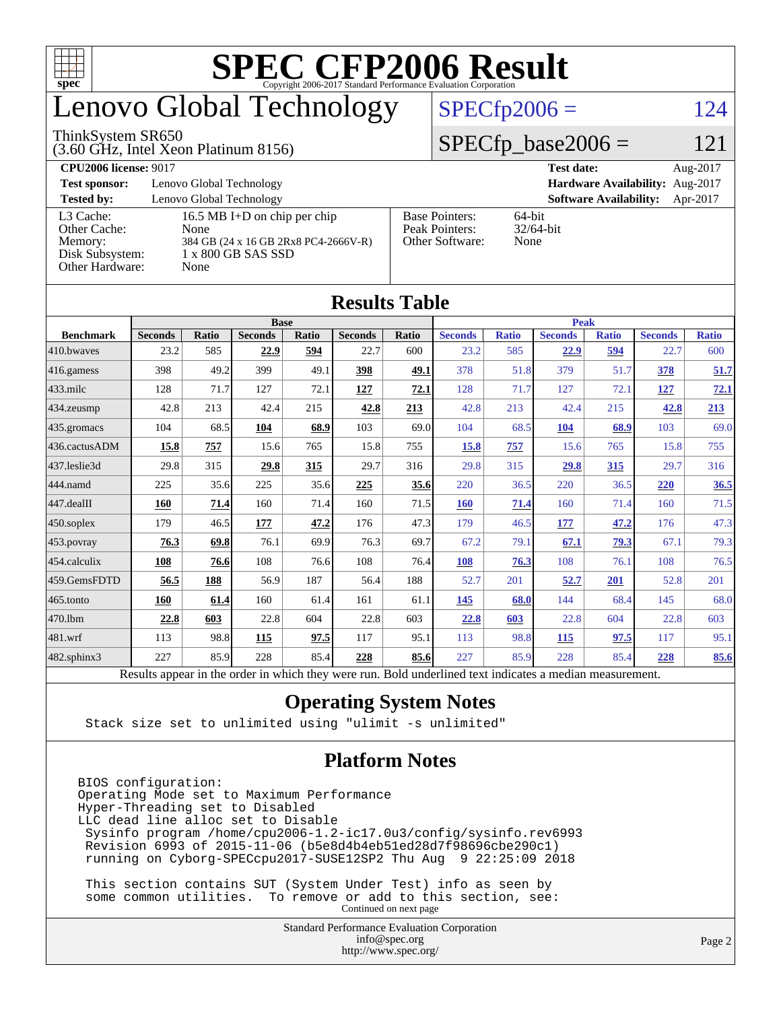

## enovo Global Technology

#### ThinkSystem SR650

(3.60 GHz, Intel Xeon Platinum 8156)

 $SPECfp2006 = 124$  $SPECfp2006 = 124$ 

### $SPECfp\_base2006 = 121$

| <b>CPU2006 license: 9017</b>                                               |                                                                                                            | <b>Test date:</b><br>Aug-2017                              |                                           |
|----------------------------------------------------------------------------|------------------------------------------------------------------------------------------------------------|------------------------------------------------------------|-------------------------------------------|
| <b>Test sponsor:</b>                                                       | Lenovo Global Technology                                                                                   | Hardware Availability: Aug-2017                            |                                           |
| <b>Tested by:</b>                                                          | Lenovo Global Technology                                                                                   |                                                            | <b>Software Availability:</b><br>Apr-2017 |
| L3 Cache:<br>Other Cache:<br>Memory:<br>Disk Subsystem:<br>Other Hardware: | 16.5 MB I+D on chip per chip<br>None<br>384 GB (24 x 16 GB 2Rx8 PC4-2666V-R)<br>1 x 800 GB SAS SSD<br>None | <b>Base Pointers:</b><br>Peak Pointers:<br>Other Software: | 64-bit<br>$32/64$ -bit<br>None            |

**[Results Table](http://www.spec.org/auto/cpu2006/Docs/result-fields.html#ResultsTable)**

| Results Tadie    |                                                                                                          |       |                |       |                |       |                |              |                |              |                |              |
|------------------|----------------------------------------------------------------------------------------------------------|-------|----------------|-------|----------------|-------|----------------|--------------|----------------|--------------|----------------|--------------|
|                  | <b>Base</b>                                                                                              |       |                |       | <b>Peak</b>    |       |                |              |                |              |                |              |
| <b>Benchmark</b> | <b>Seconds</b>                                                                                           | Ratio | <b>Seconds</b> | Ratio | <b>Seconds</b> | Ratio | <b>Seconds</b> | <b>Ratio</b> | <b>Seconds</b> | <b>Ratio</b> | <b>Seconds</b> | <b>Ratio</b> |
| 410.bwayes       | 23.2                                                                                                     | 585   | 22.9           | 594   | 22.7           | 600   | 23.2           | 585          | 22.9           | 594          | 22.7           | 600          |
| 416.gamess       | 398                                                                                                      | 49.2  | 399            | 49.1  | 398            | 49.1  | 378            | 51.8         | 379            | 51.7         | 378            | 51.7         |
| $433$ .milc      | 128                                                                                                      | 71.7  | 127            | 72.1  | 127            | 72.1  | 128            | 71.7         | 127            | 72.1         | 127            | 72.1         |
| 434.zeusmp       | 42.8                                                                                                     | 213   | 42.4           | 215   | 42.8           | 213   | 42.8           | 213          | 42.4           | 215          | 42.8           | 213          |
| 435.gromacs      | 104                                                                                                      | 68.5  | 104            | 68.9  | 103            | 69.0  | 104            | 68.5         | 104            | 68.9         | 103            | 69.0         |
| 436.cactusADM    | 15.8                                                                                                     | 757   | 15.6           | 765   | 15.8           | 755   | 15.8           | 757          | 15.6           | 765          | 15.8           | 755          |
| 437.leslie3d     | 29.8                                                                                                     | 315   | 29.8           | 315   | 29.7           | 316   | 29.8           | 315          | 29.8           | 315          | 29.7           | 316          |
| 444.namd         | 225                                                                                                      | 35.6  | 225            | 35.6  | 225            | 35.6  | 220            | 36.5         | 220            | 36.5         | 220            | 36.5         |
| 447.dealII       | 160                                                                                                      | 71.4  | 160            | 71.4  | 160            | 71.5  | 160            | 71.4         | 160            | 71.4         | 160            | 71.5         |
| $450$ .soplex    | 179                                                                                                      | 46.5  | 177            | 47.2  | 176            | 47.3  | 179            | 46.5         | 177            | 47.2         | 176            | 47.3         |
| 453.povray       | 76.3                                                                                                     | 69.8  | 76.1           | 69.9  | 76.3           | 69.7  | 67.2           | 79.1         | 67.1           | 79.3         | 67.1           | 79.3         |
| 454.calculix     | 108                                                                                                      | 76.6  | 108            | 76.6  | 108            | 76.4  | 108            | 76.3         | 108            | 76.1         | 108            | 76.5         |
| 459.GemsFDTD     | 56.5                                                                                                     | 188   | 56.9           | 187   | 56.4           | 188   | 52.7           | 201          | 52.7           | 201          | 52.8           | 201          |
| $465$ .tonto     | 160                                                                                                      | 61.4  | 160            | 61.4  | 161            | 61.1  | 145            | 68.0         | 144            | 68.4         | 145            | 68.0         |
| 470.1bm          | 22.8                                                                                                     | 603   | 22.8           | 604   | 22.8           | 603   | 22.8           | 603          | 22.8           | 604          | 22.8           | 603          |
| 481.wrf          | 113                                                                                                      | 98.8  | 115            | 97.5  | 117            | 95.1  | 113            | 98.8         | <b>115</b>     | 97.5         | 117            | 95.1         |
| 482.sphinx3      | 227                                                                                                      | 85.9  | 228            | 85.4  | 228            | 85.6  | 227            | 85.9         | 228            | 85.4         | 228            | 85.6         |
|                  | Results appear in the order in which they were run. Bold underlined text indicates a median measurement. |       |                |       |                |       |                |              |                |              |                |              |

### **[Operating System Notes](http://www.spec.org/auto/cpu2006/Docs/result-fields.html#OperatingSystemNotes)**

Stack size set to unlimited using "ulimit -s unlimited"

### **[Platform Notes](http://www.spec.org/auto/cpu2006/Docs/result-fields.html#PlatformNotes)**

BIOS configuration: Operating Mode set to Maximum Performance Hyper-Threading set to Disabled LLC dead line alloc set to Disable Sysinfo program /home/cpu2006-1.2-ic17.0u3/config/sysinfo.rev6993 Revision 6993 of 2015-11-06 (b5e8d4b4eb51ed28d7f98696cbe290c1) running on Cyborg-SPECcpu2017-SUSE12SP2 Thu Aug 9 22:25:09 2018

 This section contains SUT (System Under Test) info as seen by some common utilities. To remove or add to this section, see: Continued on next page

> Standard Performance Evaluation Corporation [info@spec.org](mailto:info@spec.org) <http://www.spec.org/>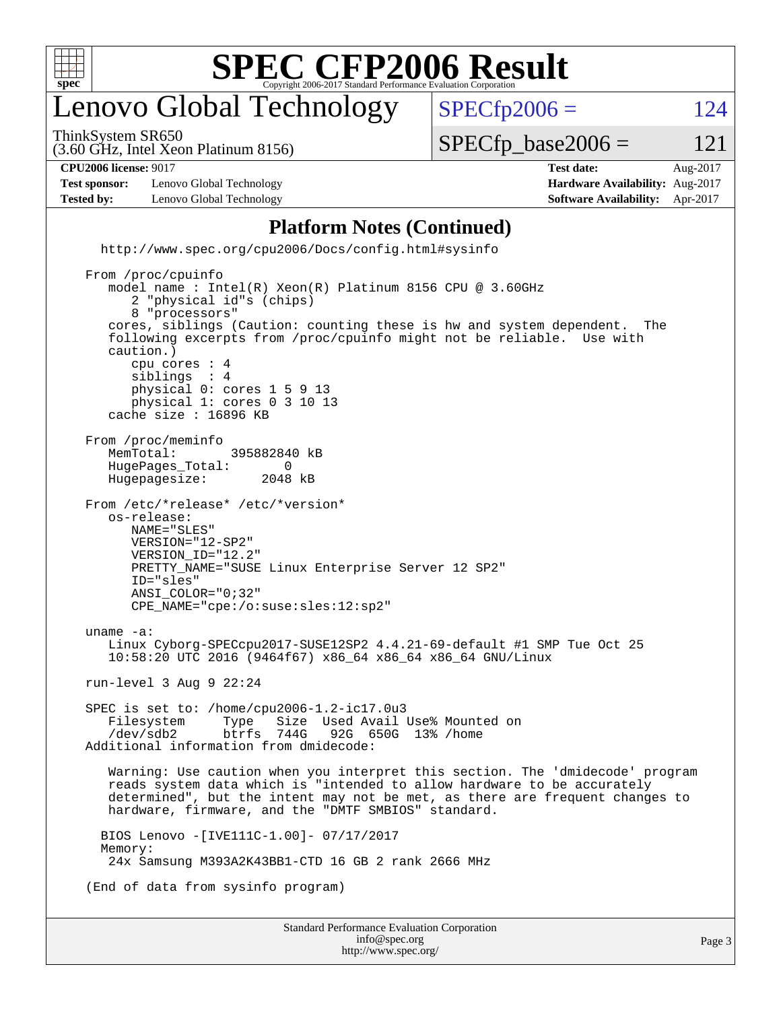

## enovo Global Technology

ThinkSystem SR650

 $SPECTp2006 = 124$ 

(3.60 GHz, Intel Xeon Platinum 8156)

 $SPECTp\_base2006 = 121$ 

**[CPU2006 license:](http://www.spec.org/auto/cpu2006/Docs/result-fields.html#CPU2006license)** 9017 **[Test date:](http://www.spec.org/auto/cpu2006/Docs/result-fields.html#Testdate)** Aug-2017

**[Test sponsor:](http://www.spec.org/auto/cpu2006/Docs/result-fields.html#Testsponsor)** Lenovo Global Technology **[Hardware Availability:](http://www.spec.org/auto/cpu2006/Docs/result-fields.html#HardwareAvailability)** Aug-2017 **[Tested by:](http://www.spec.org/auto/cpu2006/Docs/result-fields.html#Testedby)** Lenovo Global Technology **[Software Availability:](http://www.spec.org/auto/cpu2006/Docs/result-fields.html#SoftwareAvailability)** Apr-2017

#### **[Platform Notes \(Continued\)](http://www.spec.org/auto/cpu2006/Docs/result-fields.html#PlatformNotes)**

<http://www.spec.org/cpu2006/Docs/config.html#sysinfo>

Standard Performance Evaluation Corporation [info@spec.org](mailto:info@spec.org) From /proc/cpuinfo model name : Intel(R) Xeon(R) Platinum 8156 CPU @ 3.60GHz 2 "physical id"s (chips) 8 "processors" cores, siblings (Caution: counting these is hw and system dependent. The following excerpts from /proc/cpuinfo might not be reliable. Use with caution.) cpu cores : 4 siblings physical 0: cores 1 5 9 13 physical 1: cores 0 3 10 13 cache size : 16896 KB From /proc/meminfo<br>MemTotal: 395882840 kB HugePages\_Total: 0<br>Hugepagesize: 2048 kB Hugepagesize: From /etc/\*release\* /etc/\*version\* os-release: NAME="SLES" VERSION="12-SP2" VERSION\_ID="12.2" PRETTY\_NAME="SUSE Linux Enterprise Server 12 SP2" ID="sles" ANSI\_COLOR="0;32" CPE\_NAME="cpe:/o:suse:sles:12:sp2" uname -a: Linux Cyborg-SPECcpu2017-SUSE12SP2 4.4.21-69-default #1 SMP Tue Oct 25 10:58:20 UTC 2016 (9464f67) x86\_64 x86\_64 x86\_64 GNU/Linux run-level 3 Aug 9 22:24 SPEC is set to: /home/cpu2006-1.2-ic17.0u3<br>Filesystem Type Size Used Avail Filesystem Type Size Used Avail Use% Mounted on<br>/dev/sdb2 btrfs 744G 92G 650G 13% /home 92G 650G 13% /home Additional information from dmidecode: Warning: Use caution when you interpret this section. The 'dmidecode' program reads system data which is "intended to allow hardware to be accurately determined", but the intent may not be met, as there are frequent changes to hardware, firmware, and the "DMTF SMBIOS" standard. BIOS Lenovo -[IVE111C-1.00]- 07/17/2017 Memory: 24x Samsung M393A2K43BB1-CTD 16 GB 2 rank 2666 MHz (End of data from sysinfo program)

<http://www.spec.org/>

Page 3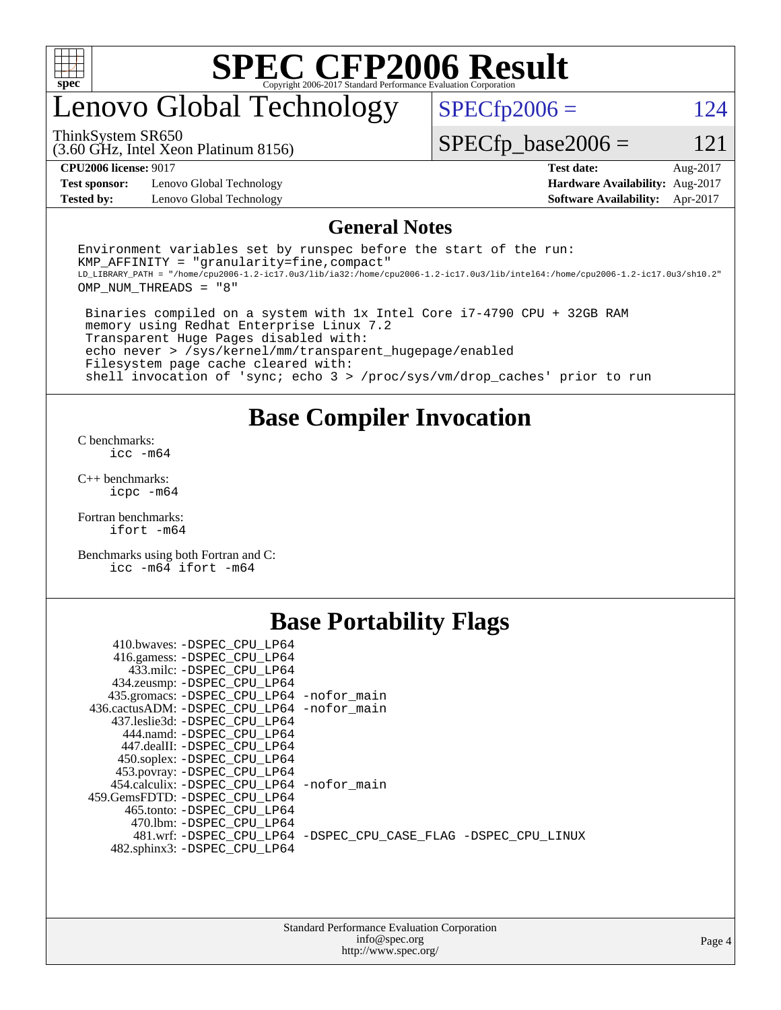

## enovo Global Technology

ThinkSystem SR650

 $SPECTp2006 = 124$ 

(3.60 GHz, Intel Xeon Platinum 8156)

 $SPECfp\_base2006 = 121$ 

**[Test sponsor:](http://www.spec.org/auto/cpu2006/Docs/result-fields.html#Testsponsor)** Lenovo Global Technology **[Hardware Availability:](http://www.spec.org/auto/cpu2006/Docs/result-fields.html#HardwareAvailability)** Aug-2017 **[Tested by:](http://www.spec.org/auto/cpu2006/Docs/result-fields.html#Testedby)** Lenovo Global Technology **[Software Availability:](http://www.spec.org/auto/cpu2006/Docs/result-fields.html#SoftwareAvailability)** Apr-2017

**[CPU2006 license:](http://www.spec.org/auto/cpu2006/Docs/result-fields.html#CPU2006license)** 9017 **[Test date:](http://www.spec.org/auto/cpu2006/Docs/result-fields.html#Testdate)** Aug-2017

#### **[General Notes](http://www.spec.org/auto/cpu2006/Docs/result-fields.html#GeneralNotes)**

Environment variables set by runspec before the start of the run:  $KMP$  AFFINITY = "granularity=fine, compact" LD\_LIBRARY\_PATH = "/home/cpu2006-1.2-ic17.0u3/lib/ia32:/home/cpu2006-1.2-ic17.0u3/lib/intel64:/home/cpu2006-1.2-ic17.0u3/sh10.2" OMP\_NUM\_THREADS = "8"

 Binaries compiled on a system with 1x Intel Core i7-4790 CPU + 32GB RAM memory using Redhat Enterprise Linux 7.2 Transparent Huge Pages disabled with: echo never > /sys/kernel/mm/transparent\_hugepage/enabled Filesystem page cache cleared with: shell invocation of 'sync; echo 3 > /proc/sys/vm/drop\_caches' prior to run

**[Base Compiler Invocation](http://www.spec.org/auto/cpu2006/Docs/result-fields.html#BaseCompilerInvocation)**

[C benchmarks](http://www.spec.org/auto/cpu2006/Docs/result-fields.html#Cbenchmarks): [icc -m64](http://www.spec.org/cpu2006/results/res2017q4/cpu2006-20170918-49762.flags.html#user_CCbase_intel_icc_64bit_bda6cc9af1fdbb0edc3795bac97ada53)

[C++ benchmarks:](http://www.spec.org/auto/cpu2006/Docs/result-fields.html#CXXbenchmarks) [icpc -m64](http://www.spec.org/cpu2006/results/res2017q4/cpu2006-20170918-49762.flags.html#user_CXXbase_intel_icpc_64bit_fc66a5337ce925472a5c54ad6a0de310)

[Fortran benchmarks](http://www.spec.org/auto/cpu2006/Docs/result-fields.html#Fortranbenchmarks): [ifort -m64](http://www.spec.org/cpu2006/results/res2017q4/cpu2006-20170918-49762.flags.html#user_FCbase_intel_ifort_64bit_ee9d0fb25645d0210d97eb0527dcc06e)

[Benchmarks using both Fortran and C](http://www.spec.org/auto/cpu2006/Docs/result-fields.html#BenchmarksusingbothFortranandC): [icc -m64](http://www.spec.org/cpu2006/results/res2017q4/cpu2006-20170918-49762.flags.html#user_CC_FCbase_intel_icc_64bit_bda6cc9af1fdbb0edc3795bac97ada53) [ifort -m64](http://www.spec.org/cpu2006/results/res2017q4/cpu2006-20170918-49762.flags.html#user_CC_FCbase_intel_ifort_64bit_ee9d0fb25645d0210d97eb0527dcc06e)

### **[Base Portability Flags](http://www.spec.org/auto/cpu2006/Docs/result-fields.html#BasePortabilityFlags)**

| 410.bwaves: -DSPEC CPU LP64<br>416.gamess: - DSPEC_CPU_LP64 |                                                                |
|-------------------------------------------------------------|----------------------------------------------------------------|
| 433.milc: -DSPEC CPU LP64                                   |                                                                |
| 434.zeusmp: - DSPEC_CPU_LP64                                |                                                                |
| 435.gromacs: -DSPEC_CPU_LP64 -nofor_main                    |                                                                |
| 436.cactusADM: - DSPEC CPU LP64 - nofor main                |                                                                |
| 437.leslie3d: -DSPEC CPU LP64                               |                                                                |
| 444.namd: -DSPEC CPU LP64                                   |                                                                |
| 447.dealII: -DSPEC CPU LP64                                 |                                                                |
| 450.soplex: -DSPEC_CPU_LP64                                 |                                                                |
| 453.povray: -DSPEC_CPU_LP64                                 |                                                                |
| 454.calculix: - DSPEC CPU LP64 - nofor main                 |                                                                |
| 459.GemsFDTD: -DSPEC CPU LP64                               |                                                                |
| 465.tonto: - DSPEC CPU LP64                                 |                                                                |
| 470.1bm: - DSPEC CPU LP64                                   |                                                                |
|                                                             | 481.wrf: -DSPEC CPU_LP64 -DSPEC_CPU_CASE_FLAG -DSPEC_CPU_LINUX |
| 482.sphinx3: -DSPEC_CPU_LP64                                |                                                                |
|                                                             |                                                                |

| <b>Standard Performance Evaluation Corporation</b> |
|----------------------------------------------------|
| info@spec.org                                      |
| http://www.spec.org/                               |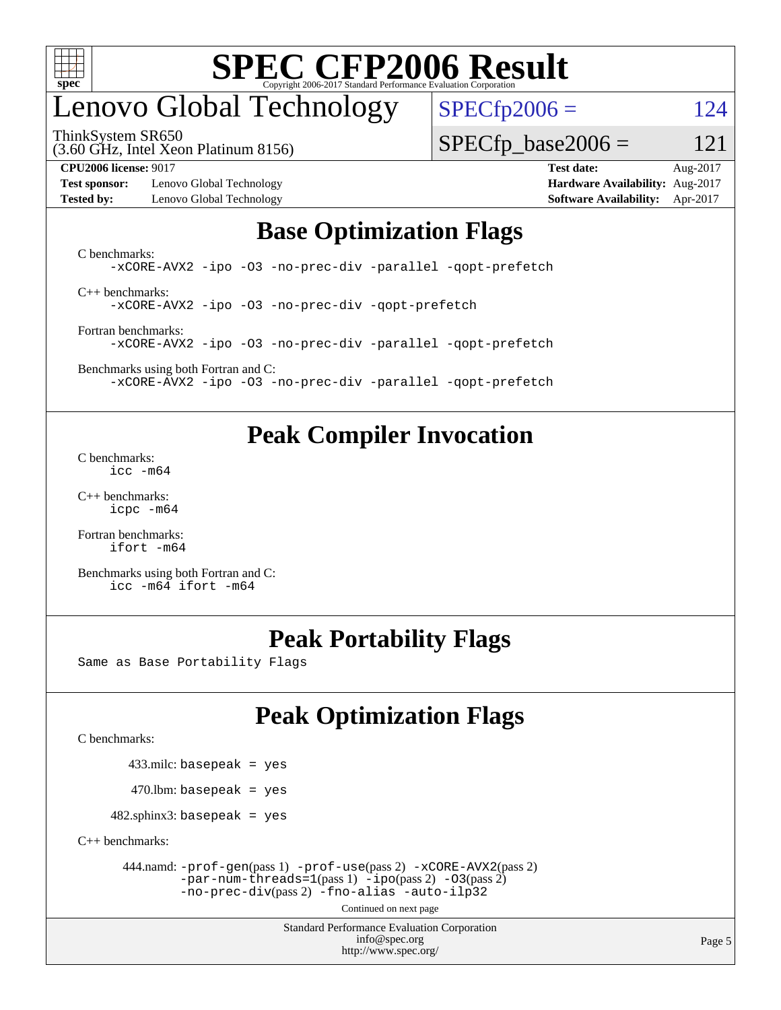

## enovo Global Technology

ThinkSystem SR650

 $SPECTp2006 = 124$ 

 $SPECTp\_base2006 = 121$ 

(3.60 GHz, Intel Xeon Platinum 8156)

**[Test sponsor:](http://www.spec.org/auto/cpu2006/Docs/result-fields.html#Testsponsor)** Lenovo Global Technology **[Hardware Availability:](http://www.spec.org/auto/cpu2006/Docs/result-fields.html#HardwareAvailability)** Aug-2017

**[CPU2006 license:](http://www.spec.org/auto/cpu2006/Docs/result-fields.html#CPU2006license)** 9017 **[Test date:](http://www.spec.org/auto/cpu2006/Docs/result-fields.html#Testdate)** Aug-2017 **[Tested by:](http://www.spec.org/auto/cpu2006/Docs/result-fields.html#Testedby)** Lenovo Global Technology **[Software Availability:](http://www.spec.org/auto/cpu2006/Docs/result-fields.html#SoftwareAvailability)** Apr-2017

## **[Base Optimization Flags](http://www.spec.org/auto/cpu2006/Docs/result-fields.html#BaseOptimizationFlags)**

[C benchmarks](http://www.spec.org/auto/cpu2006/Docs/result-fields.html#Cbenchmarks): [-xCORE-AVX2](http://www.spec.org/cpu2006/results/res2017q4/cpu2006-20170918-49762.flags.html#user_CCbase_f-xCORE-AVX2) [-ipo](http://www.spec.org/cpu2006/results/res2017q4/cpu2006-20170918-49762.flags.html#user_CCbase_f-ipo) [-O3](http://www.spec.org/cpu2006/results/res2017q4/cpu2006-20170918-49762.flags.html#user_CCbase_f-O3) [-no-prec-div](http://www.spec.org/cpu2006/results/res2017q4/cpu2006-20170918-49762.flags.html#user_CCbase_f-no-prec-div) [-parallel](http://www.spec.org/cpu2006/results/res2017q4/cpu2006-20170918-49762.flags.html#user_CCbase_f-parallel) [-qopt-prefetch](http://www.spec.org/cpu2006/results/res2017q4/cpu2006-20170918-49762.flags.html#user_CCbase_f-qopt-prefetch) [C++ benchmarks:](http://www.spec.org/auto/cpu2006/Docs/result-fields.html#CXXbenchmarks) [-xCORE-AVX2](http://www.spec.org/cpu2006/results/res2017q4/cpu2006-20170918-49762.flags.html#user_CXXbase_f-xCORE-AVX2) [-ipo](http://www.spec.org/cpu2006/results/res2017q4/cpu2006-20170918-49762.flags.html#user_CXXbase_f-ipo) [-O3](http://www.spec.org/cpu2006/results/res2017q4/cpu2006-20170918-49762.flags.html#user_CXXbase_f-O3) [-no-prec-div](http://www.spec.org/cpu2006/results/res2017q4/cpu2006-20170918-49762.flags.html#user_CXXbase_f-no-prec-div) [-qopt-prefetch](http://www.spec.org/cpu2006/results/res2017q4/cpu2006-20170918-49762.flags.html#user_CXXbase_f-qopt-prefetch)

[Fortran benchmarks](http://www.spec.org/auto/cpu2006/Docs/result-fields.html#Fortranbenchmarks): [-xCORE-AVX2](http://www.spec.org/cpu2006/results/res2017q4/cpu2006-20170918-49762.flags.html#user_FCbase_f-xCORE-AVX2) [-ipo](http://www.spec.org/cpu2006/results/res2017q4/cpu2006-20170918-49762.flags.html#user_FCbase_f-ipo) [-O3](http://www.spec.org/cpu2006/results/res2017q4/cpu2006-20170918-49762.flags.html#user_FCbase_f-O3) [-no-prec-div](http://www.spec.org/cpu2006/results/res2017q4/cpu2006-20170918-49762.flags.html#user_FCbase_f-no-prec-div) [-parallel](http://www.spec.org/cpu2006/results/res2017q4/cpu2006-20170918-49762.flags.html#user_FCbase_f-parallel) [-qopt-prefetch](http://www.spec.org/cpu2006/results/res2017q4/cpu2006-20170918-49762.flags.html#user_FCbase_f-qopt-prefetch)

[Benchmarks using both Fortran and C](http://www.spec.org/auto/cpu2006/Docs/result-fields.html#BenchmarksusingbothFortranandC): [-xCORE-AVX2](http://www.spec.org/cpu2006/results/res2017q4/cpu2006-20170918-49762.flags.html#user_CC_FCbase_f-xCORE-AVX2) [-ipo](http://www.spec.org/cpu2006/results/res2017q4/cpu2006-20170918-49762.flags.html#user_CC_FCbase_f-ipo) [-O3](http://www.spec.org/cpu2006/results/res2017q4/cpu2006-20170918-49762.flags.html#user_CC_FCbase_f-O3) [-no-prec-div](http://www.spec.org/cpu2006/results/res2017q4/cpu2006-20170918-49762.flags.html#user_CC_FCbase_f-no-prec-div) [-parallel](http://www.spec.org/cpu2006/results/res2017q4/cpu2006-20170918-49762.flags.html#user_CC_FCbase_f-parallel) [-qopt-prefetch](http://www.spec.org/cpu2006/results/res2017q4/cpu2006-20170918-49762.flags.html#user_CC_FCbase_f-qopt-prefetch)

### **[Peak Compiler Invocation](http://www.spec.org/auto/cpu2006/Docs/result-fields.html#PeakCompilerInvocation)**

[C benchmarks](http://www.spec.org/auto/cpu2006/Docs/result-fields.html#Cbenchmarks): [icc -m64](http://www.spec.org/cpu2006/results/res2017q4/cpu2006-20170918-49762.flags.html#user_CCpeak_intel_icc_64bit_bda6cc9af1fdbb0edc3795bac97ada53)

[C++ benchmarks:](http://www.spec.org/auto/cpu2006/Docs/result-fields.html#CXXbenchmarks) [icpc -m64](http://www.spec.org/cpu2006/results/res2017q4/cpu2006-20170918-49762.flags.html#user_CXXpeak_intel_icpc_64bit_fc66a5337ce925472a5c54ad6a0de310)

[Fortran benchmarks](http://www.spec.org/auto/cpu2006/Docs/result-fields.html#Fortranbenchmarks): [ifort -m64](http://www.spec.org/cpu2006/results/res2017q4/cpu2006-20170918-49762.flags.html#user_FCpeak_intel_ifort_64bit_ee9d0fb25645d0210d97eb0527dcc06e)

[Benchmarks using both Fortran and C](http://www.spec.org/auto/cpu2006/Docs/result-fields.html#BenchmarksusingbothFortranandC): [icc -m64](http://www.spec.org/cpu2006/results/res2017q4/cpu2006-20170918-49762.flags.html#user_CC_FCpeak_intel_icc_64bit_bda6cc9af1fdbb0edc3795bac97ada53) [ifort -m64](http://www.spec.org/cpu2006/results/res2017q4/cpu2006-20170918-49762.flags.html#user_CC_FCpeak_intel_ifort_64bit_ee9d0fb25645d0210d97eb0527dcc06e)

## **[Peak Portability Flags](http://www.spec.org/auto/cpu2006/Docs/result-fields.html#PeakPortabilityFlags)**

Same as Base Portability Flags

## **[Peak Optimization Flags](http://www.spec.org/auto/cpu2006/Docs/result-fields.html#PeakOptimizationFlags)**

[C benchmarks](http://www.spec.org/auto/cpu2006/Docs/result-fields.html#Cbenchmarks):

433.milc: basepeak = yes

 $470.$ lbm: basepeak = yes

 $482$ .sphinx3: basepeak = yes

[C++ benchmarks:](http://www.spec.org/auto/cpu2006/Docs/result-fields.html#CXXbenchmarks)

 444.namd: [-prof-gen](http://www.spec.org/cpu2006/results/res2017q4/cpu2006-20170918-49762.flags.html#user_peakPASS1_CXXFLAGSPASS1_LDFLAGS444_namd_prof_gen_e43856698f6ca7b7e442dfd80e94a8fc)(pass 1) [-prof-use](http://www.spec.org/cpu2006/results/res2017q4/cpu2006-20170918-49762.flags.html#user_peakPASS2_CXXFLAGSPASS2_LDFLAGS444_namd_prof_use_bccf7792157ff70d64e32fe3e1250b55)(pass 2) [-xCORE-AVX2](http://www.spec.org/cpu2006/results/res2017q4/cpu2006-20170918-49762.flags.html#user_peakPASS2_CXXFLAGSPASS2_LDFLAGS444_namd_f-xCORE-AVX2)(pass 2)  $-par-num-threads=1(pass 1) -ipo(pass 2) -O3(pass 2)$  $-par-num-threads=1(pass 1) -ipo(pass 2) -O3(pass 2)$  $-par-num-threads=1(pass 1) -ipo(pass 2) -O3(pass 2)$  $-par-num-threads=1(pass 1) -ipo(pass 2) -O3(pass 2)$  $-par-num-threads=1(pass 1) -ipo(pass 2) -O3(pass 2)$  $-par-num-threads=1(pass 1) -ipo(pass 2) -O3(pass 2)$ [-no-prec-div](http://www.spec.org/cpu2006/results/res2017q4/cpu2006-20170918-49762.flags.html#user_peakPASS2_CXXFLAGSPASS2_LDFLAGS444_namd_f-no-prec-div)(pass 2) [-fno-alias](http://www.spec.org/cpu2006/results/res2017q4/cpu2006-20170918-49762.flags.html#user_peakCXXOPTIMIZEOPTIMIZE444_namd_f-no-alias_694e77f6c5a51e658e82ccff53a9e63a) [-auto-ilp32](http://www.spec.org/cpu2006/results/res2017q4/cpu2006-20170918-49762.flags.html#user_peakCXXOPTIMIZE444_namd_f-auto-ilp32)

Continued on next page

Standard Performance Evaluation Corporation [info@spec.org](mailto:info@spec.org) <http://www.spec.org/>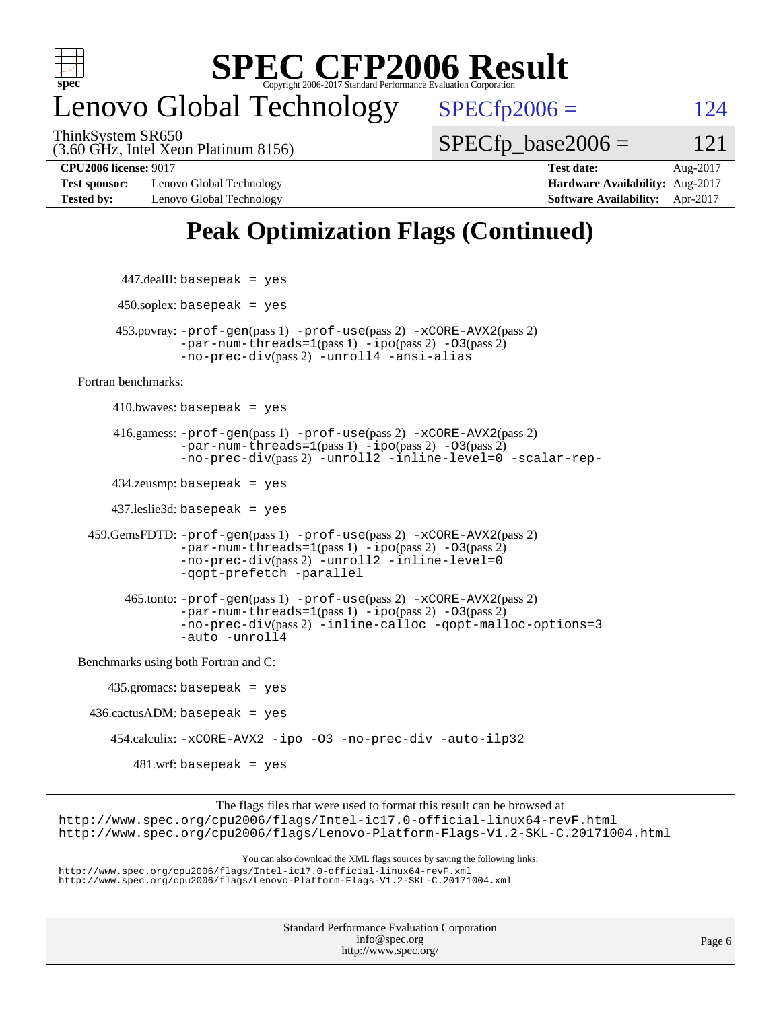

## enovo Global Technology

ThinkSystem SR650

 $SPECTp2006 = 124$ 

(3.60 GHz, Intel Xeon Platinum 8156)

 $SPECTp\_base2006 = 121$ 

**[Test sponsor:](http://www.spec.org/auto/cpu2006/Docs/result-fields.html#Testsponsor)** Lenovo Global Technology **[Hardware Availability:](http://www.spec.org/auto/cpu2006/Docs/result-fields.html#HardwareAvailability)** Aug-2017 **[Tested by:](http://www.spec.org/auto/cpu2006/Docs/result-fields.html#Testedby)** Lenovo Global Technology **[Software Availability:](http://www.spec.org/auto/cpu2006/Docs/result-fields.html#SoftwareAvailability)** Apr-2017

**[CPU2006 license:](http://www.spec.org/auto/cpu2006/Docs/result-fields.html#CPU2006license)** 9017 **[Test date:](http://www.spec.org/auto/cpu2006/Docs/result-fields.html#Testdate)** Aug-2017

## **[Peak Optimization Flags \(Continued\)](http://www.spec.org/auto/cpu2006/Docs/result-fields.html#PeakOptimizationFlags)**

```
447.dealII: basepeak = yes
         450.soplex: basepeak = yes
         453.povray: -prof-gen(pass 1) -prof-use(pass 2) -xCORE-AVX2(pass 2)
                   -par-num-threads=1-ipo-O3(pass 2)-no-prec-div(pass 2) -unroll4 -ansi-alias
   Fortran benchmarks: 
        410.bwaves: basepeak = yes 416.gamess: -prof-gen(pass 1) -prof-use(pass 2) -xCORE-AVX2(pass 2)
                   -par-num-threads=1(pass 1) -ipo(pass 2) -O3(pass 2)
                  -no-prec-div(pass 2) -unroll2 -inline-level=0 -scalar-rep-
         434.zeusmp: basepeak = yes
         437.leslie3d: basepeak = yes
     459.GemsFDTD: -prof-gen(pass 1) -prof-use(pass 2) -xCORE-AVX2(pass 2)
                   -par-num-threads=1(pass 1) -ipo(pass 2) -O3(pass 2)
                   -no-prec-div(pass 2) -unroll2 -inline-level=0
                   -qopt-prefetch -parallel
           465.tonto: -prof-gen(pass 1) -prof-use(pass 2) -xCORE-AVX2(pass 2)
                   -par-num-threads=1(pass 1) -ipo(pass 2) -O3(pass 2)
                   -no-prec-div(pass 2) -inline-calloc -qopt-malloc-options=3
                   -auto -unroll4
   Benchmarks using both Fortran and C: 
        435.gromacs: basepeak = yes
    436.cactusADM:basepeak = yes 454.calculix: -xCORE-AVX2 -ipo -O3 -no-prec-div -auto-ilp32
            481.wrf: basepeak = yes
                        The flags files that were used to format this result can be browsed at
http://www.spec.org/cpu2006/flags/Intel-ic17.0-official-linux64-revF.html
http://www.spec.org/cpu2006/flags/Lenovo-Platform-Flags-V1.2-SKL-C.20171004.html
                            You can also download the XML flags sources by saving the following links:
http://www.spec.org/cpu2006/flags/Intel-ic17.0-official-linux64-revF.xml
http://www.spec.org/cpu2006/flags/Lenovo-Platform-Flags-V1.2-SKL-C.20171004.xml
```

| <b>Standard Performance Evaluation Corporation</b> |
|----------------------------------------------------|
| info@spec.org                                      |
| http://www.spec.org/                               |